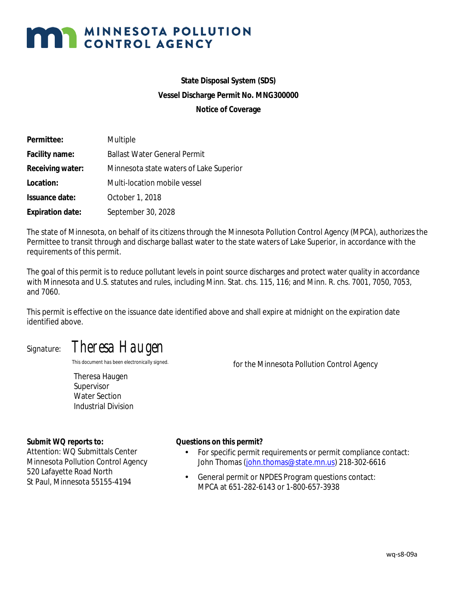# **MAN MINNESOTA POLLUTION**

### **State Disposal System (SDS) Vessel Discharge Permit No. MNG300000 Notice of Coverage**

| Permittee:              | Multiple                                |
|-------------------------|-----------------------------------------|
| Facility name:          | <b>Ballast Water General Permit</b>     |
| Receiving water:        | Minnesota state waters of Lake Superior |
| Location:               | Multi-location mobile vessel            |
| Issuance date:          | October 1, 2018                         |
| <b>Expiration date:</b> | September 30, 2028                      |

The state of Minnesota, on behalf of its citizens through the Minnesota Pollution Control Agency (MPCA), authorizes the Permittee to transit through and discharge ballast water to the state waters of Lake Superior, in accordance with the requirements of this permit.

The goal of this permit is to reduce pollutant levels in point source discharges and protect water quality in accordance with Minnesota and U.S. statutes and rules, including Minn. Stat. chs. 115, 116; and Minn. R. chs. 7001, 7050, 7053, and 7060.

This permit is effective on the issuance date identified above and shall expire at midnight on the expiration date identified above.

## *Signature*: *Theresa Haugen*

Theresa Haugen Supervisor Water Section Industrial Division

*This document has been electronically signed. for the* Minnesota Pollution Control Agency

#### *Submit WQ reports to:*

Attention: WQ Submittals Center Minnesota Pollution Control Agency 520 Lafayette Road North St Paul, Minnesota 55155-4194

#### *Questions on this permit?*

- For specific permit requirements or permit compliance contact:  $\mathcal{L}^{\text{max}}$ John Thomas [\(john.thomas@state.mn.us\)](mailto:john.thomas@state.mn.us) 218-302-6616
- $\mathbf{r}$  . General permit or NPDES Program questions contact: MPCA at 651-282-6143 or 1-800-657-3938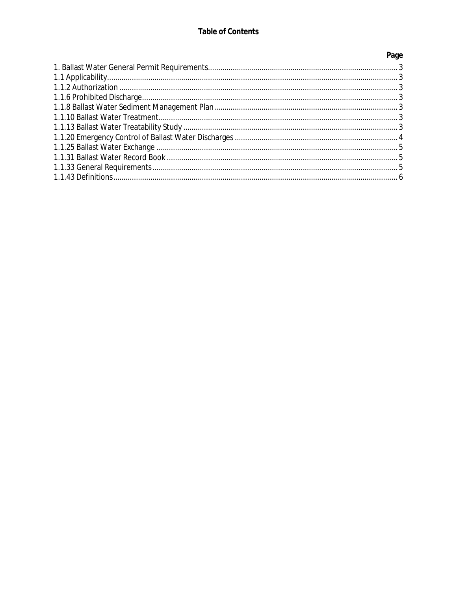| Page |
|------|
|      |
|      |
|      |
|      |
|      |
|      |
|      |
|      |
|      |
|      |
|      |
|      |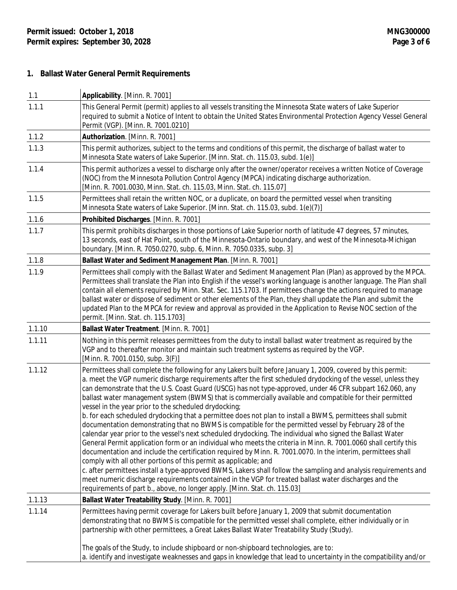#### **1. Ballast Water General Permit Requirements**

| 1.1    | Applicability. [Minn. R. 7001]                                                                                                                                                                                                                                                                                                                                                                                                                                                                                                                                                                                                                                                                                                                                                                                                                                                                                                                                                                                                                                                                                                                                                                                                                                                                                                                                                                                                                                          |
|--------|-------------------------------------------------------------------------------------------------------------------------------------------------------------------------------------------------------------------------------------------------------------------------------------------------------------------------------------------------------------------------------------------------------------------------------------------------------------------------------------------------------------------------------------------------------------------------------------------------------------------------------------------------------------------------------------------------------------------------------------------------------------------------------------------------------------------------------------------------------------------------------------------------------------------------------------------------------------------------------------------------------------------------------------------------------------------------------------------------------------------------------------------------------------------------------------------------------------------------------------------------------------------------------------------------------------------------------------------------------------------------------------------------------------------------------------------------------------------------|
| 1.1.1  | This General Permit (permit) applies to all vessels transiting the Minnesota State waters of Lake Superior<br>required to submit a Notice of Intent to obtain the United States Environmental Protection Agency Vessel General<br>Permit (VGP). [Minn. R. 7001.0210]                                                                                                                                                                                                                                                                                                                                                                                                                                                                                                                                                                                                                                                                                                                                                                                                                                                                                                                                                                                                                                                                                                                                                                                                    |
| 1.1.2  | Authorization. [Minn. R. 7001]                                                                                                                                                                                                                                                                                                                                                                                                                                                                                                                                                                                                                                                                                                                                                                                                                                                                                                                                                                                                                                                                                                                                                                                                                                                                                                                                                                                                                                          |
| 1.1.3  | This permit authorizes, subject to the terms and conditions of this permit, the discharge of ballast water to<br>Minnesota State waters of Lake Superior. [Minn. Stat. ch. 115.03, subd. 1(e)]                                                                                                                                                                                                                                                                                                                                                                                                                                                                                                                                                                                                                                                                                                                                                                                                                                                                                                                                                                                                                                                                                                                                                                                                                                                                          |
| 1.1.4  | This permit authorizes a vessel to discharge only after the owner/operator receives a written Notice of Coverage<br>(NOC) from the Minnesota Pollution Control Agency (MPCA) indicating discharge authorization.<br>[Minn. R. 7001.0030, Minn. Stat. ch. 115.03, Minn. Stat. ch. 115.07]                                                                                                                                                                                                                                                                                                                                                                                                                                                                                                                                                                                                                                                                                                                                                                                                                                                                                                                                                                                                                                                                                                                                                                                |
| 1.1.5  | Permittees shall retain the written NOC, or a duplicate, on board the permitted vessel when transiting<br>Minnesota State waters of Lake Superior. [Minn. Stat. ch. 115.03, subd. 1(e)(7)]                                                                                                                                                                                                                                                                                                                                                                                                                                                                                                                                                                                                                                                                                                                                                                                                                                                                                                                                                                                                                                                                                                                                                                                                                                                                              |
| 1.1.6  | Prohibited Discharges. [Minn. R. 7001]                                                                                                                                                                                                                                                                                                                                                                                                                                                                                                                                                                                                                                                                                                                                                                                                                                                                                                                                                                                                                                                                                                                                                                                                                                                                                                                                                                                                                                  |
| 1.1.7  | This permit prohibits discharges in those portions of Lake Superior north of latitude 47 degrees, 57 minutes,<br>13 seconds, east of Hat Point, south of the Minnesota-Ontario boundary, and west of the Minnesota-Michigan<br>boundary. [Minn. R. 7050.0270, subp. 6, Minn. R. 7050.0335, subp. 3]                                                                                                                                                                                                                                                                                                                                                                                                                                                                                                                                                                                                                                                                                                                                                                                                                                                                                                                                                                                                                                                                                                                                                                     |
| 1.1.8  | Ballast Water and Sediment Management Plan. [Minn. R. 7001]                                                                                                                                                                                                                                                                                                                                                                                                                                                                                                                                                                                                                                                                                                                                                                                                                                                                                                                                                                                                                                                                                                                                                                                                                                                                                                                                                                                                             |
| 1.1.9  | Permittees shall comply with the Ballast Water and Sediment Management Plan (Plan) as approved by the MPCA.<br>Permittees shall translate the Plan into English if the vessel's working language is another language. The Plan shall<br>contain all elements required by Minn. Stat. Sec. 115.1703. If permittees change the actions required to manage<br>ballast water or dispose of sediment or other elements of the Plan, they shall update the Plan and submit the<br>updated Plan to the MPCA for review and approval as provided in the Application to Revise NOC section of the<br>permit. [Minn. Stat. ch. 115.1703]                                                                                                                                                                                                                                                                                                                                                                                                                                                                                                                                                                                                                                                                                                                                                                                                                                          |
| 1.1.10 | Ballast Water Treatment. [Minn. R. 7001]                                                                                                                                                                                                                                                                                                                                                                                                                                                                                                                                                                                                                                                                                                                                                                                                                                                                                                                                                                                                                                                                                                                                                                                                                                                                                                                                                                                                                                |
| 1.1.11 | Nothing in this permit releases permittees from the duty to install ballast water treatment as required by the<br>VGP and to thereafter monitor and maintain such treatment systems as required by the VGP.<br>[Minn. R. 7001.0150, subp. 3(F)]                                                                                                                                                                                                                                                                                                                                                                                                                                                                                                                                                                                                                                                                                                                                                                                                                                                                                                                                                                                                                                                                                                                                                                                                                         |
| 1.1.12 | Permittees shall complete the following for any Lakers built before January 1, 2009, covered by this permit:<br>a. meet the VGP numeric discharge requirements after the first scheduled drydocking of the vessel, unless they<br>can demonstrate that the U.S. Coast Guard (USCG) has not type-approved, under 46 CFR subpart 162.060, any<br>ballast water management system (BWMS) that is commercially available and compatible for their permitted<br>vessel in the year prior to the scheduled drydocking;<br>b. for each scheduled drydocking that a permittee does not plan to install a BWMS, permittees shall submit<br>documentation demonstrating that no BWMS is compatible for the permitted vessel by February 28 of the<br>calendar year prior to the vessel's next scheduled drydocking. The individual who signed the Ballast Water<br>General Permit application form or an individual who meets the criteria in Minn. R. 7001.0060 shall certify this<br>documentation and include the certification required by Minn. R. 7001.0070. In the interim, permittees shall<br>comply with all other portions of this permit as applicable; and<br>c. after permittees install a type-approved BWMS, Lakers shall follow the sampling and analysis requirements and<br>meet numeric discharge requirements contained in the VGP for treated ballast water discharges and the<br>requirements of part b., above, no longer apply. [Minn. Stat. ch. 115.03] |
| 1.1.13 | Ballast Water Treatability Study. [Minn. R. 7001]                                                                                                                                                                                                                                                                                                                                                                                                                                                                                                                                                                                                                                                                                                                                                                                                                                                                                                                                                                                                                                                                                                                                                                                                                                                                                                                                                                                                                       |
| 1.1.14 | Permittees having permit coverage for Lakers built before January 1, 2009 that submit documentation<br>demonstrating that no BWMS is compatible for the permitted vessel shall complete, either individually or in<br>partnership with other permittees, a Great Lakes Ballast Water Treatability Study (Study).                                                                                                                                                                                                                                                                                                                                                                                                                                                                                                                                                                                                                                                                                                                                                                                                                                                                                                                                                                                                                                                                                                                                                        |
|        | The goals of the Study, to include shipboard or non-shipboard technologies, are to:<br>a. identify and investigate weaknesses and gaps in knowledge that lead to uncertainty in the compatibility and/or                                                                                                                                                                                                                                                                                                                                                                                                                                                                                                                                                                                                                                                                                                                                                                                                                                                                                                                                                                                                                                                                                                                                                                                                                                                                |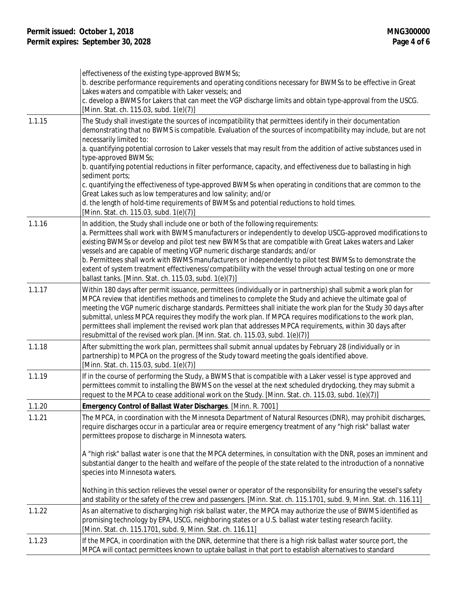|        | effectiveness of the existing type-approved BWMSs;<br>b. describe performance requirements and operating conditions necessary for BWMSs to be effective in Great<br>Lakes waters and compatible with Laker vessels; and<br>c. develop a BWMS for Lakers that can meet the VGP discharge limits and obtain type-approval from the USCG.<br>[Minn. Stat. ch. 115.03, subd. 1(e)(7)]                                                                                                                                                                                                                                                                                                                                                                                                                                                                                    |
|--------|----------------------------------------------------------------------------------------------------------------------------------------------------------------------------------------------------------------------------------------------------------------------------------------------------------------------------------------------------------------------------------------------------------------------------------------------------------------------------------------------------------------------------------------------------------------------------------------------------------------------------------------------------------------------------------------------------------------------------------------------------------------------------------------------------------------------------------------------------------------------|
| 1.1.15 | The Study shall investigate the sources of incompatibility that permittees identify in their documentation<br>demonstrating that no BWMS is compatible. Evaluation of the sources of incompatibility may include, but are not<br>necessarily limited to:<br>a. quantifying potential corrosion to Laker vessels that may result from the addition of active substances used in<br>type-approved BWMSs;<br>b. quantifying potential reductions in filter performance, capacity, and effectiveness due to ballasting in high<br>sediment ports;<br>c. quantifying the effectiveness of type-approved BWMSs when operating in conditions that are common to the<br>Great Lakes such as low temperatures and low salinity; and/or<br>d. the length of hold-time requirements of BWMSs and potential reductions to hold times.<br>[Minn. Stat. ch. 115.03, subd. 1(e)(7)] |
| 1.1.16 | In addition, the Study shall include one or both of the following requirements:<br>a. Permittees shall work with BWMS manufacturers or independently to develop USCG-approved modifications to<br>existing BWMSs or develop and pilot test new BWMSs that are compatible with Great Lakes waters and Laker<br>vessels and are capable of meeting VGP numeric discharge standards; and/or<br>b. Permittees shall work with BWMS manufacturers or independently to pilot test BWMSs to demonstrate the<br>extent of system treatment effectiveness/compatibility with the vessel through actual testing on one or more<br>ballast tanks. [Minn. Stat. ch. 115.03, subd. 1(e)(7)]                                                                                                                                                                                       |
| 1.1.17 | Within 180 days after permit issuance, permittees (individually or in partnership) shall submit a work plan for<br>MPCA review that identifies methods and timelines to complete the Study and achieve the ultimate goal of<br>meeting the VGP numeric discharge standards. Permittees shall initiate the work plan for the Study 30 days after<br>submittal, unless MPCA requires they modify the work plan. If MPCA requires modifications to the work plan,<br>permittees shall implement the revised work plan that addresses MPCA requirements, within 30 days after<br>resubmittal of the revised work plan. [Minn. Stat. ch. 115.03, subd. 1(e)(7)]                                                                                                                                                                                                           |
| 1.1.18 | After submitting the work plan, permittees shall submit annual updates by February 28 (individually or in<br>partnership) to MPCA on the progress of the Study toward meeting the goals identified above.<br>[Minn. Stat. ch. 115.03, subd. 1(e)(7)]                                                                                                                                                                                                                                                                                                                                                                                                                                                                                                                                                                                                                 |
| 1.1.19 | If in the course of performing the Study, a BWMS that is compatible with a Laker vessel is type approved and<br>permittees commit to installing the BWMS on the vessel at the next scheduled drydocking, they may submit a<br>request to the MPCA to cease additional work on the Study. [Minn. Stat. ch. 115.03, subd. 1(e)(7)]                                                                                                                                                                                                                                                                                                                                                                                                                                                                                                                                     |
| 1.1.20 | Emergency Control of Ballast Water Discharges. [Minn. R. 7001]                                                                                                                                                                                                                                                                                                                                                                                                                                                                                                                                                                                                                                                                                                                                                                                                       |
| 1.1.21 | The MPCA, in coordination with the Minnesota Department of Natural Resources (DNR), may prohibit discharges,<br>require discharges occur in a particular area or require emergency treatment of any "high risk" ballast water<br>permittees propose to discharge in Minnesota waters.                                                                                                                                                                                                                                                                                                                                                                                                                                                                                                                                                                                |
|        | A "high risk" ballast water is one that the MPCA determines, in consultation with the DNR, poses an imminent and<br>substantial danger to the health and welfare of the people of the state related to the introduction of a nonnative<br>species into Minnesota waters.                                                                                                                                                                                                                                                                                                                                                                                                                                                                                                                                                                                             |
|        | Nothing in this section relieves the vessel owner or operator of the responsibility for ensuring the vessel's safety<br>and stability or the safety of the crew and passengers. [Minn. Stat. ch. 115.1701, subd. 9, Minn. Stat. ch. 116.11]                                                                                                                                                                                                                                                                                                                                                                                                                                                                                                                                                                                                                          |
| 1.1.22 | As an alternative to discharging high risk ballast water, the MPCA may authorize the use of BWMS identified as<br>promising technology by EPA, USCG, neighboring states or a U.S. ballast water testing research facility.<br>[Minn. Stat. ch. 115.1701, subd. 9, Minn. Stat. ch. 116.11]                                                                                                                                                                                                                                                                                                                                                                                                                                                                                                                                                                            |
| 1.1.23 | If the MPCA, in coordination with the DNR, determine that there is a high risk ballast water source port, the<br>MPCA will contact permittees known to uptake ballast in that port to establish alternatives to standard                                                                                                                                                                                                                                                                                                                                                                                                                                                                                                                                                                                                                                             |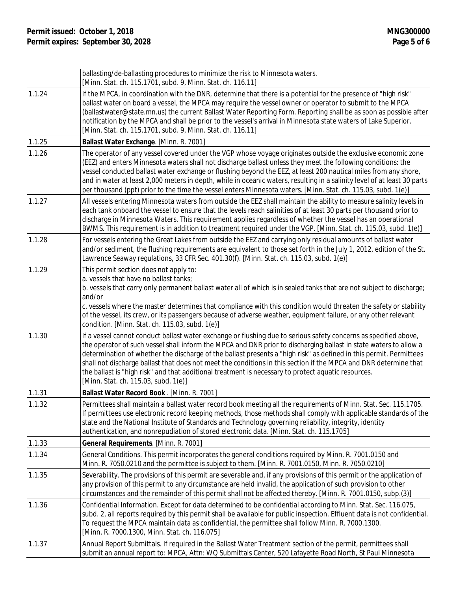|        | ballasting/de-ballasting procedures to minimize the risk to Minnesota waters.<br>[Minn. Stat. ch. 115.1701, subd. 9, Minn. Stat. ch. 116.11]                                                                                                                                                                                                                                                                                                                                                                                                                                                                                   |
|--------|--------------------------------------------------------------------------------------------------------------------------------------------------------------------------------------------------------------------------------------------------------------------------------------------------------------------------------------------------------------------------------------------------------------------------------------------------------------------------------------------------------------------------------------------------------------------------------------------------------------------------------|
| 1.1.24 | If the MPCA, in coordination with the DNR, determine that there is a potential for the presence of "high risk"<br>ballast water on board a vessel, the MPCA may require the vessel owner or operator to submit to the MPCA<br>(ballastwater@state.mn.us) the current Ballast Water Reporting Form. Reporting shall be as soon as possible after<br>notification by the MPCA and shall be prior to the vessel's arrival in Minnesota state waters of Lake Superior.<br>[Minn. Stat. ch. 115.1701, subd. 9, Minn. Stat. ch. 116.11]                                                                                              |
| 1.1.25 | Ballast Water Exchange. [Minn. R. 7001]                                                                                                                                                                                                                                                                                                                                                                                                                                                                                                                                                                                        |
| 1.1.26 | The operator of any vessel covered under the VGP whose voyage originates outside the exclusive economic zone<br>(EEZ) and enters Minnesota waters shall not discharge ballast unless they meet the following conditions: the<br>vessel conducted ballast water exchange or flushing beyond the EEZ, at least 200 nautical miles from any shore,<br>and in water at least 2,000 meters in depth, while in oceanic waters, resulting in a salinity level of at least 30 parts<br>per thousand (ppt) prior to the time the vessel enters Minnesota waters. [Minn. Stat. ch. 115.03, subd. 1(e)]                                   |
| 1.1.27 | All vessels entering Minnesota waters from outside the EEZ shall maintain the ability to measure salinity levels in<br>each tank onboard the vessel to ensure that the levels reach salinities of at least 30 parts per thousand prior to<br>discharge in Minnesota Waters. This requirement applies regardless of whether the vessel has an operational<br>BWMS. This requirement is in addition to treatment required under the VGP. [Minn. Stat. ch. 115.03, subd. 1(e)]                                                                                                                                                    |
| 1.1.28 | For vessels entering the Great Lakes from outside the EEZ and carrying only residual amounts of ballast water<br>and/or sediment, the flushing requirements are equivalent to those set forth in the July 1, 2012, edition of the St.<br>Lawrence Seaway regulations, 33 CFR Sec. 401.30(f). [Minn. Stat. ch. 115.03, subd. 1(e)]                                                                                                                                                                                                                                                                                              |
| 1.1.29 | This permit section does not apply to:<br>a. vessels that have no ballast tanks;<br>b. vessels that carry only permanent ballast water all of which is in sealed tanks that are not subject to discharge;<br>and/or<br>c. vessels where the master determines that compliance with this condition would threaten the safety or stability<br>of the vessel, its crew, or its passengers because of adverse weather, equipment failure, or any other relevant<br>condition. [Minn. Stat. ch. 115.03, subd. 1(e)]                                                                                                                 |
| 1.1.30 | If a vessel cannot conduct ballast water exchange or flushing due to serious safety concerns as specified above,<br>the operator of such vessel shall inform the MPCA and DNR prior to discharging ballast in state waters to allow a<br>determination of whether the discharge of the ballast presents a "high risk" as defined in this permit. Permittees<br>shall not discharge ballast that does not meet the conditions in this section if the MPCA and DNR determine that<br>the ballast is "high risk" and that additional treatment is necessary to protect aquatic resources.<br>[Minn. Stat. ch. 115.03, subd. 1(e)] |
| 1.1.31 | Ballast Water Record Book . [Minn. R. 7001]                                                                                                                                                                                                                                                                                                                                                                                                                                                                                                                                                                                    |
| 1.1.32 | Permittees shall maintain a ballast water record book meeting all the requirements of Minn. Stat. Sec. 115.1705.<br>If permittees use electronic record keeping methods, those methods shall comply with applicable standards of the<br>state and the National Institute of Standards and Technology governing reliability, integrity, identity<br>authentication, and nonrepudiation of stored electronic data. [Minn. Stat. ch. 115.1705]                                                                                                                                                                                    |
| 1.1.33 | General Requirements. [Minn. R. 7001]                                                                                                                                                                                                                                                                                                                                                                                                                                                                                                                                                                                          |
| 1.1.34 | General Conditions. This permit incorporates the general conditions required by Minn. R. 7001.0150 and<br>Minn. R. 7050.0210 and the permittee is subject to them. [Minn. R. 7001.0150, Minn. R. 7050.0210]                                                                                                                                                                                                                                                                                                                                                                                                                    |
| 1.1.35 | Severability. The provisions of this permit are severable and, if any provisions of this permit or the application of<br>any provision of this permit to any circumstance are held invalid, the application of such provision to other<br>circumstances and the remainder of this permit shall not be affected thereby. [Minn. R. 7001.0150, subp.(3)]                                                                                                                                                                                                                                                                         |
| 1.1.36 | Confidential Information. Except for data determined to be confidential according to Minn. Stat. Sec. 116.075,<br>subd. 2, all reports required by this permit shall be available for public inspection. Effluent data is not confidential.<br>To request the MPCA maintain data as confidential, the permittee shall follow Minn. R. 7000.1300.<br>[Minn. R. 7000.1300, Minn. Stat. ch. 116.075]                                                                                                                                                                                                                              |
| 1.1.37 | Annual Report Submittals. If required in the Ballast Water Treatment section of the permit, permittees shall<br>submit an annual report to: MPCA, Attn: WQ Submittals Center, 520 Lafayette Road North, St Paul Minnesota                                                                                                                                                                                                                                                                                                                                                                                                      |